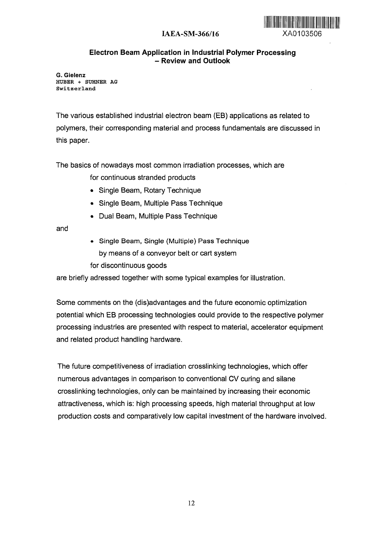## **IAEA-SM-366/16** XA0103506

## **Electron Beam Application in Industrial Polymer Processing - Review and Outlook**

G. Gielenz HUBER + SUHNER AG Switzerland

The various established industrial electron beam (EB) applications as related to polymers, their corresponding material and process fundamentals are discussed in this paper.

The basics of nowadays most common irradiation processes, which are

for continuous stranded products

- Single Beam, Rotary Technique
- Single Beam, Multiple Pass Technique
- Dual Beam, Multiple Pass Technique

and

• Single Beam, Single (Multiple) Pass Technique by means of a conveyor belt or cart system for discontinuous goods

are briefly adressed together with some typical examples for illustration.

Some comments on the (dis)advantages and the future economic optimization potential which EB processing technologies could provide to the respective polymer processing industries are presented with respect to material, accelerator equipment and related product handling hardware.

The future competitiveness of irradiation crosslinking technologies, which offer numerous advantages in comparison to conventional CV curing and silane crosslinking technologies, only can be maintained by increasing their economic attractiveness, which is: high processing speeds, high material throughput at low production costs and comparatively low capital investment of the hardware involved.